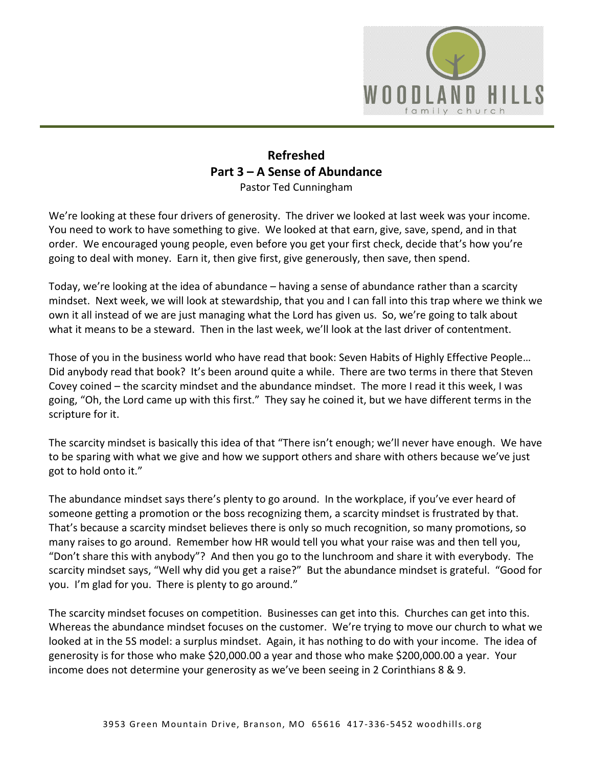

## **Refreshed Part 3 – A Sense of Abundance**  Pastor Ted Cunningham

We're looking at these four drivers of generosity. The driver we looked at last week was your income. You need to work to have something to give. We looked at that earn, give, save, spend, and in that order. We encouraged young people, even before you get your first check, decide that's how you're going to deal with money. Earn it, then give first, give generously, then save, then spend.

Today, we're looking at the idea of abundance – having a sense of abundance rather than a scarcity mindset. Next week, we will look at stewardship, that you and I can fall into this trap where we think we own it all instead of we are just managing what the Lord has given us. So, we're going to talk about what it means to be a steward. Then in the last week, we'll look at the last driver of contentment.

Those of you in the business world who have read that book: Seven Habits of Highly Effective People… Did anybody read that book? It's been around quite a while. There are two terms in there that Steven Covey coined – the scarcity mindset and the abundance mindset. The more I read it this week, I was going, "Oh, the Lord came up with this first." They say he coined it, but we have different terms in the scripture for it.

The scarcity mindset is basically this idea of that "There isn't enough; we'll never have enough. We have to be sparing with what we give and how we support others and share with others because we've just got to hold onto it."

The abundance mindset says there's plenty to go around. In the workplace, if you've ever heard of someone getting a promotion or the boss recognizing them, a scarcity mindset is frustrated by that. That's because a scarcity mindset believes there is only so much recognition, so many promotions, so many raises to go around. Remember how HR would tell you what your raise was and then tell you, "Don't share this with anybody"? And then you go to the lunchroom and share it with everybody. The scarcity mindset says, "Well why did you get a raise?" But the abundance mindset is grateful. "Good for you. I'm glad for you. There is plenty to go around."

The scarcity mindset focuses on competition. Businesses can get into this. Churches can get into this. Whereas the abundance mindset focuses on the customer. We're trying to move our church to what we looked at in the 5S model: a surplus mindset. Again, it has nothing to do with your income. The idea of generosity is for those who make \$20,000.00 a year and those who make \$200,000.00 a year. Your income does not determine your generosity as we've been seeing in 2 Corinthians 8 & 9.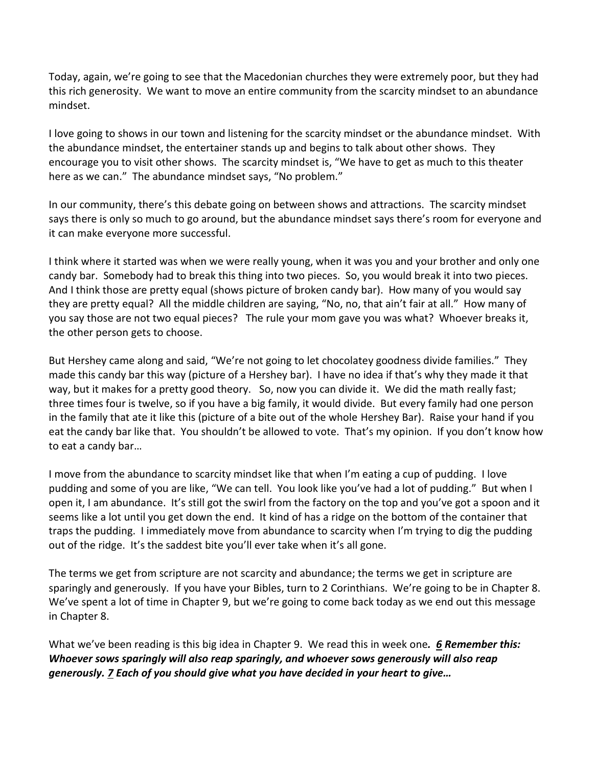Today, again, we're going to see that the Macedonian churches they were extremely poor, but they had this rich generosity. We want to move an entire community from the scarcity mindset to an abundance mindset.

I love going to shows in our town and listening for the scarcity mindset or the abundance mindset. With the abundance mindset, the entertainer stands up and begins to talk about other shows. They encourage you to visit other shows. The scarcity mindset is, "We have to get as much to this theater here as we can." The abundance mindset says, "No problem."

In our community, there's this debate going on between shows and attractions. The scarcity mindset says there is only so much to go around, but the abundance mindset says there's room for everyone and it can make everyone more successful.

I think where it started was when we were really young, when it was you and your brother and only one candy bar. Somebody had to break this thing into two pieces. So, you would break it into two pieces. And I think those are pretty equal (shows picture of broken candy bar). How many of you would say they are pretty equal? All the middle children are saying, "No, no, that ain't fair at all." How many of you say those are not two equal pieces? The rule your mom gave you was what? Whoever breaks it, the other person gets to choose.

But Hershey came along and said, "We're not going to let chocolatey goodness divide families." They made this candy bar this way (picture of a Hershey bar). I have no idea if that's why they made it that way, but it makes for a pretty good theory. So, now you can divide it. We did the math really fast; three times four is twelve, so if you have a big family, it would divide. But every family had one person in the family that ate it like this (picture of a bite out of the whole Hershey Bar). Raise your hand if you eat the candy bar like that. You shouldn't be allowed to vote. That's my opinion. If you don't know how to eat a candy bar…

I move from the abundance to scarcity mindset like that when I'm eating a cup of pudding. I love pudding and some of you are like, "We can tell. You look like you've had a lot of pudding." But when I open it, I am abundance. It's still got the swirl from the factory on the top and you've got a spoon and it seems like a lot until you get down the end. It kind of has a ridge on the bottom of the container that traps the pudding. I immediately move from abundance to scarcity when I'm trying to dig the pudding out of the ridge. It's the saddest bite you'll ever take when it's all gone.

The terms we get from scripture are not scarcity and abundance; the terms we get in scripture are sparingly and generously. If you have your Bibles, turn to 2 Corinthians. We're going to be in Chapter 8. We've spent a lot of time in Chapter 9, but we're going to come back today as we end out this message in Chapter 8.

What we've been reading is this big idea in Chapter 9. We read this in week one*. [6](https://www.studylight.org/desk/?q=2co%209:6&t1=en_niv&sr=1) Remember this: Whoever sows sparingly will also reap sparingly, and whoever sows generously will also reap generously. [7](https://www.studylight.org/desk/?q=2co%209:7&t1=en_niv&sr=1) Each of you should give what you have decided in your heart to give…*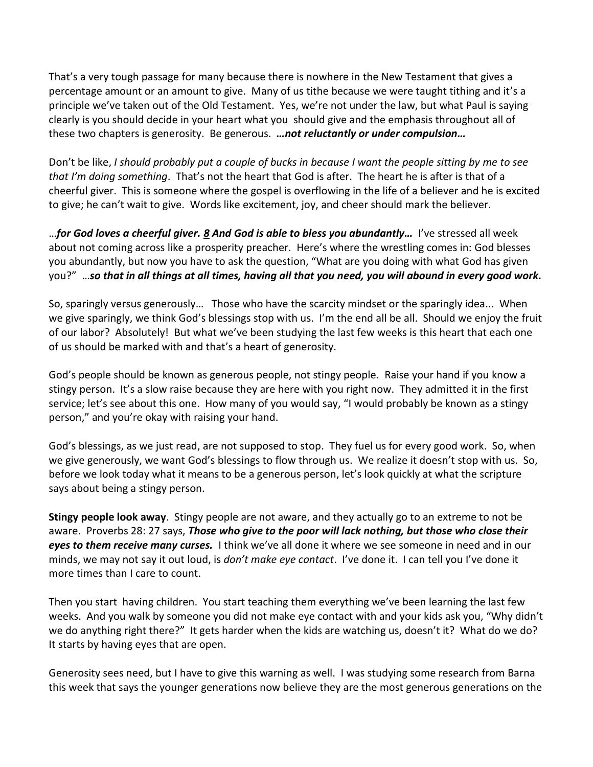That's a very tough passage for many because there is nowhere in the New Testament that gives a percentage amount or an amount to give. Many of us tithe because we were taught tithing and it's a principle we've taken out of the Old Testament. Yes, we're not under the law, but what Paul is saying clearly is you should decide in your heart what you should give and the emphasis throughout all of these two chapters is generosity. Be generous. *…not reluctantly or under compulsion…*

Don't be like, *I should probably put a couple of bucks in because I want the people sitting by me to see that I'm doing something*. That's not the heart that God is after. The heart he is after is that of a cheerful giver. This is someone where the gospel is overflowing in the life of a believer and he is excited to give; he can't wait to give. Words like excitement, joy, and cheer should mark the believer.

…*for God loves a cheerful giver. [8](https://www.studylight.org/desk/?q=2co%209:8&t1=en_niv&sr=1) And God is able to bless you abundantly…* I've stressed all week about not coming across like a prosperity preacher. Here's where the wrestling comes in: God blesses you abundantly, but now you have to ask the question, "What are you doing with what God has given you?" …*so that in all things at all times, having all that you need, you will abound in every good work.*

So, sparingly versus generously… Those who have the scarcity mindset or the sparingly idea... When we give sparingly, we think God's blessings stop with us. I'm the end all be all. Should we enjoy the fruit of our labor? Absolutely! But what we've been studying the last few weeks is this heart that each one of us should be marked with and that's a heart of generosity.

God's people should be known as generous people, not stingy people. Raise your hand if you know a stingy person. It's a slow raise because they are here with you right now. They admitted it in the first service; let's see about this one. How many of you would say, "I would probably be known as a stingy person," and you're okay with raising your hand.

God's blessings, as we just read, are not supposed to stop. They fuel us for every good work. So, when we give generously, we want God's blessings to flow through us. We realize it doesn't stop with us. So, before we look today what it means to be a generous person, let's look quickly at what the scripture says about being a stingy person.

**Stingy people look away**. Stingy people are not aware, and they actually go to an extreme to not be aware. Proverbs 28: 27 says, *Those who give to the poor will lack nothing, but those who close their eyes to them receive many curses.* I think we've all done it where we see someone in need and in our minds, we may not say it out loud, is *don't make eye contact*. I've done it. I can tell you I've done it more times than I care to count.

Then you start having children. You start teaching them everything we've been learning the last few weeks. And you walk by someone you did not make eye contact with and your kids ask you, "Why didn't we do anything right there?" It gets harder when the kids are watching us, doesn't it? What do we do? It starts by having eyes that are open.

Generosity sees need, but I have to give this warning as well. I was studying some research from Barna this week that says the younger generations now believe they are the most generous generations on the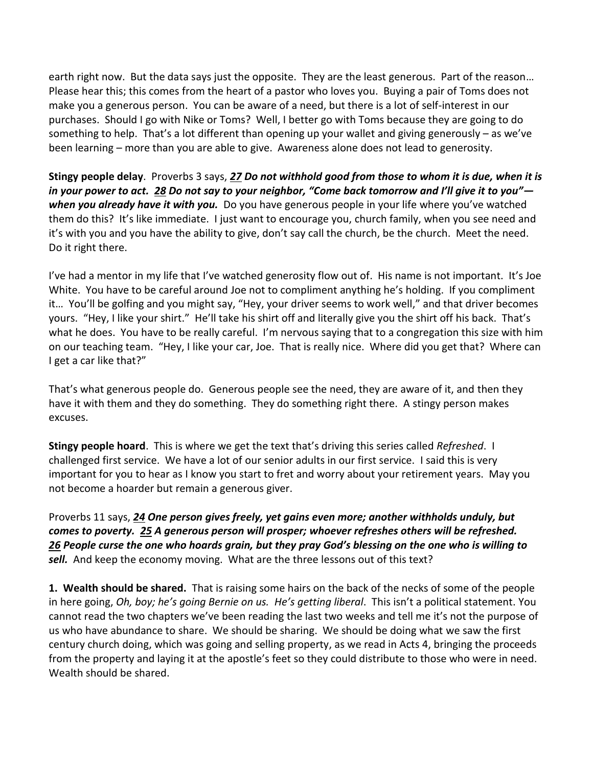earth right now. But the data says just the opposite. They are the least generous. Part of the reason… Please hear this; this comes from the heart of a pastor who loves you. Buying a pair of Toms does not make you a generous person. You can be aware of a need, but there is a lot of self-interest in our purchases. Should I go with Nike or Toms? Well, I better go with Toms because they are going to do something to help. That's a lot different than opening up your wallet and giving generously – as we've been learning – more than you are able to give. Awareness alone does not lead to generosity.

**Stingy people delay**. Proverbs 3 says, *[27](https://www.studylight.org/desk/?q=pr%203:27&t1=en_niv&sr=1) Do not withhold good from those to whom it is due, when it is in your power to act. [28](https://www.studylight.org/desk/?q=pr%203:28&t1=en_niv&sr=1) Do not say to your neighbor, "Come back tomorrow and I'll give it to you" when you already have it with you.* Do you have generous people in your life where you've watched them do this? It's like immediate. I just want to encourage you, church family, when you see need and it's with you and you have the ability to give, don't say call the church, be the church. Meet the need. Do it right there.

I've had a mentor in my life that I've watched generosity flow out of. His name is not important. It's Joe White. You have to be careful around Joe not to compliment anything he's holding. If you compliment it… You'll be golfing and you might say, "Hey, your driver seems to work well," and that driver becomes yours. "Hey, I like your shirt." He'll take his shirt off and literally give you the shirt off his back. That's what he does. You have to be really careful. I'm nervous saying that to a congregation this size with him on our teaching team. "Hey, I like your car, Joe. That is really nice. Where did you get that? Where can I get a car like that?"

That's what generous people do. Generous people see the need, they are aware of it, and then they have it with them and they do something. They do something right there. A stingy person makes excuses.

**Stingy people hoard**. This is where we get the text that's driving this series called *Refreshed*. I challenged first service. We have a lot of our senior adults in our first service. I said this is very important for you to hear as I know you start to fret and worry about your retirement years. May you not become a hoarder but remain a generous giver.

Proverbs 11 says, *[24](https://www.studylight.org/desk/?q=pr%2011:24&t1=en_niv&sr=1) One person gives freely, yet gains even more; another withholds unduly, but comes to poverty. [25](https://www.studylight.org/desk/?q=pr%2011:25&t1=en_niv&sr=1) A generous person will prosper; whoever refreshes others will be refreshed. [26](https://www.studylight.org/desk/?q=pr%2011:26&t1=en_niv&sr=1) People curse the one who hoards grain, but they pray God's blessing on the one who is willing to sell.* And keep the economy moving. What are the three lessons out of this text?

**1. Wealth should be shared.** That is raising some hairs on the back of the necks of some of the people in here going, *Oh, boy; he's going Bernie on us. He's getting liberal*. This isn't a political statement. You cannot read the two chapters we've been reading the last two weeks and tell me it's not the purpose of us who have abundance to share. We should be sharing. We should be doing what we saw the first century church doing, which was going and selling property, as we read in Acts 4, bringing the proceeds from the property and laying it at the apostle's feet so they could distribute to those who were in need. Wealth should be shared.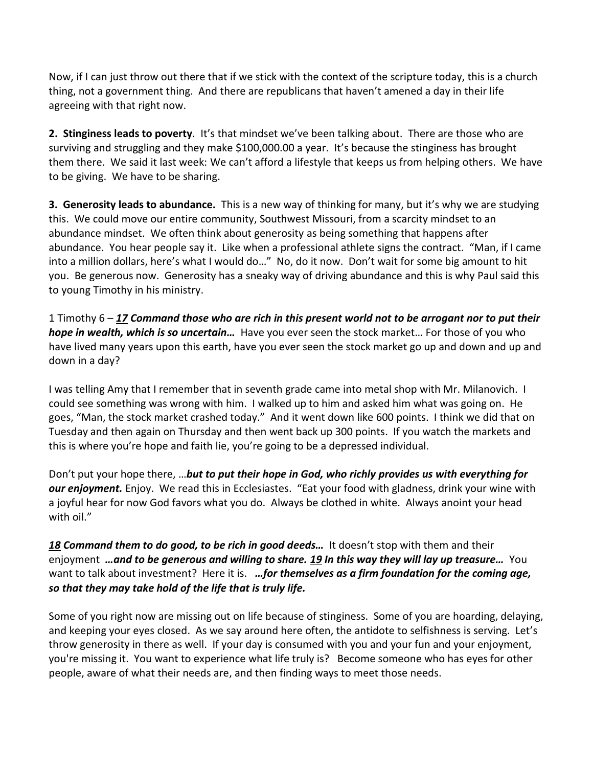Now, if I can just throw out there that if we stick with the context of the scripture today, this is a church thing, not a government thing. And there are republicans that haven't amened a day in their life agreeing with that right now.

**2. Stinginess leads to poverty**. It's that mindset we've been talking about. There are those who are surviving and struggling and they make \$100,000.00 a year. It's because the stinginess has brought them there. We said it last week: We can't afford a lifestyle that keeps us from helping others. We have to be giving. We have to be sharing.

**3. Generosity leads to abundance.** This is a new way of thinking for many, but it's why we are studying this. We could move our entire community, Southwest Missouri, from a scarcity mindset to an abundance mindset. We often think about generosity as being something that happens after abundance. You hear people say it. Like when a professional athlete signs the contract. "Man, if I came into a million dollars, here's what I would do…" No, do it now. Don't wait for some big amount to hit you. Be generous now. Generosity has a sneaky way of driving abundance and this is why Paul said this to young Timothy in his ministry.

1 Timothy 6 – *[17](https://www.studylight.org/desk/?q=1ti%206:17&t1=en_niv&sr=1) Command those who are rich in this present world not to be arrogant nor to put their hope in wealth, which is so uncertain…* Have you ever seen the stock market… For those of you who have lived many years upon this earth, have you ever seen the stock market go up and down and up and down in a day?

I was telling Amy that I remember that in seventh grade came into metal shop with Mr. Milanovich. I could see something was wrong with him. I walked up to him and asked him what was going on. He goes, "Man, the stock market crashed today." And it went down like 600 points. I think we did that on Tuesday and then again on Thursday and then went back up 300 points. If you watch the markets and this is where you're hope and faith lie, you're going to be a depressed individual.

Don't put your hope there, …*but to put their hope in God, who richly provides us with everything for our enjoyment.* Enjoy. We read this in Ecclesiastes. "Eat your food with gladness, drink your wine with a joyful hear for now God favors what you do. Always be clothed in white. Always anoint your head with oil."

## *[18](https://www.studylight.org/desk/?q=1ti%206:18&t1=en_niv&sr=1) Command them to do good, to be rich in good deeds…* It doesn't stop with them and their enjoyment *…and to be generous and willing to share. [19](https://www.studylight.org/desk/?q=1ti%206:19&t1=en_niv&sr=1) In this way they will lay up treasure…* You want to talk about investment? Here it is. *…for themselves as a firm foundation for the coming age, so that they may take hold of the life that is truly life.*

Some of you right now are missing out on life because of stinginess. Some of you are hoarding, delaying, and keeping your eyes closed. As we say around here often, the antidote to selfishness is serving. Let's throw generosity in there as well. If your day is consumed with you and your fun and your enjoyment, you're missing it. You want to experience what life truly is? Become someone who has eyes for other people, aware of what their needs are, and then finding ways to meet those needs.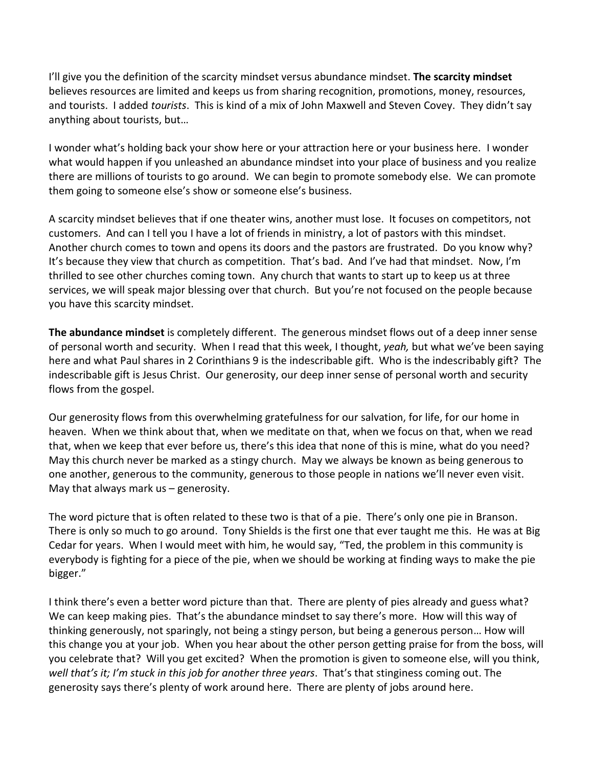I'll give you the definition of the scarcity mindset versus abundance mindset. **The scarcity mindset** believes resources are limited and keeps us from sharing recognition, promotions, money, resources, and tourists. I added *tourists*. This is kind of a mix of John Maxwell and Steven Covey. They didn't say anything about tourists, but…

I wonder what's holding back your show here or your attraction here or your business here. I wonder what would happen if you unleashed an abundance mindset into your place of business and you realize there are millions of tourists to go around. We can begin to promote somebody else. We can promote them going to someone else's show or someone else's business.

A scarcity mindset believes that if one theater wins, another must lose. It focuses on competitors, not customers. And can I tell you I have a lot of friends in ministry, a lot of pastors with this mindset. Another church comes to town and opens its doors and the pastors are frustrated. Do you know why? It's because they view that church as competition. That's bad. And I've had that mindset. Now, I'm thrilled to see other churches coming town. Any church that wants to start up to keep us at three services, we will speak major blessing over that church. But you're not focused on the people because you have this scarcity mindset.

**The abundance mindset** is completely different. The generous mindset flows out of a deep inner sense of personal worth and security. When I read that this week, I thought, *yeah,* but what we've been saying here and what Paul shares in 2 Corinthians 9 is the indescribable gift. Who is the indescribably gift? The indescribable gift is Jesus Christ. Our generosity, our deep inner sense of personal worth and security flows from the gospel.

Our generosity flows from this overwhelming gratefulness for our salvation, for life, for our home in heaven. When we think about that, when we meditate on that, when we focus on that, when we read that, when we keep that ever before us, there's this idea that none of this is mine, what do you need? May this church never be marked as a stingy church. May we always be known as being generous to one another, generous to the community, generous to those people in nations we'll never even visit. May that always mark us – generosity.

The word picture that is often related to these two is that of a pie. There's only one pie in Branson. There is only so much to go around. Tony Shields is the first one that ever taught me this. He was at Big Cedar for years. When I would meet with him, he would say, "Ted, the problem in this community is everybody is fighting for a piece of the pie, when we should be working at finding ways to make the pie bigger."

I think there's even a better word picture than that. There are plenty of pies already and guess what? We can keep making pies. That's the abundance mindset to say there's more. How will this way of thinking generously, not sparingly, not being a stingy person, but being a generous person… How will this change you at your job. When you hear about the other person getting praise for from the boss, will you celebrate that? Will you get excited? When the promotion is given to someone else, will you think, *well that's it; I'm stuck in this job for another three years*. That's that stinginess coming out. The generosity says there's plenty of work around here. There are plenty of jobs around here.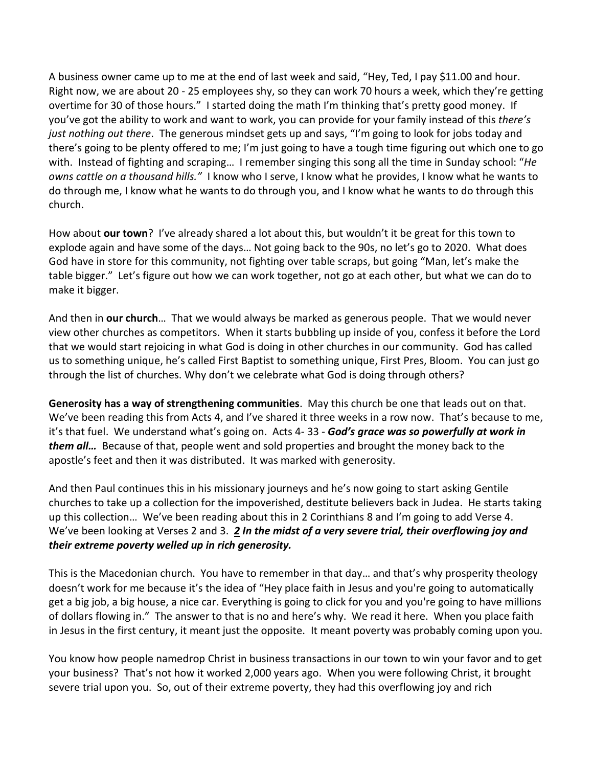A business owner came up to me at the end of last week and said, "Hey, Ted, I pay \$11.00 and hour. Right now, we are about 20 - 25 employees shy, so they can work 70 hours a week, which they're getting overtime for 30 of those hours." I started doing the math I'm thinking that's pretty good money. If you've got the ability to work and want to work, you can provide for your family instead of this *there's just nothing out there*. The generous mindset gets up and says, "I'm going to look for jobs today and there's going to be plenty offered to me; I'm just going to have a tough time figuring out which one to go with. Instead of fighting and scraping… I remember singing this song all the time in Sunday school: "*He owns cattle on a thousand hills."* I know who I serve, I know what he provides, I know what he wants to do through me, I know what he wants to do through you, and I know what he wants to do through this church.

How about **our town**? I've already shared a lot about this, but wouldn't it be great for this town to explode again and have some of the days… Not going back to the 90s, no let's go to 2020. What does God have in store for this community, not fighting over table scraps, but going "Man, let's make the table bigger." Let's figure out how we can work together, not go at each other, but what we can do to make it bigger.

And then in **our church**… That we would always be marked as generous people. That we would never view other churches as competitors. When it starts bubbling up inside of you, confess it before the Lord that we would start rejoicing in what God is doing in other churches in our community. God has called us to something unique, he's called First Baptist to something unique, First Pres, Bloom. You can just go through the list of churches. Why don't we celebrate what God is doing through others?

**Generosity has a way of strengthening communities**. May this church be one that leads out on that. We've been reading this from Acts 4, and I've shared it three weeks in a row now. That's because to me, it's that fuel. We understand what's going on. Acts 4- 33 - *God's grace was so powerfully at work in them all…* Because of that, people went and sold properties and brought the money back to the apostle's feet and then it was distributed. It was marked with generosity.

And then Paul continues this in his missionary journeys and he's now going to start asking Gentile churches to take up a collection for the impoverished, destitute believers back in Judea. He starts taking up this collection… We've been reading about this in 2 Corinthians 8 and I'm going to add Verse 4. We've been looking at Verses 2 and 3. *[2](https://www.studylight.org/desk/?q=2co%208:2&t1=en_niv&sr=1) In the midst of a very severe trial, their overflowing joy and their extreme poverty welled up in rich generosity.*

This is the Macedonian church. You have to remember in that day… and that's why prosperity theology doesn't work for me because it's the idea of "Hey place faith in Jesus and you're going to automatically get a big job, a big house, a nice car. Everything is going to click for you and you're going to have millions of dollars flowing in." The answer to that is no and here's why. We read it here. When you place faith in Jesus in the first century, it meant just the opposite. It meant poverty was probably coming upon you.

You know how people namedrop Christ in business transactions in our town to win your favor and to get your business? That's not how it worked 2,000 years ago. When you were following Christ, it brought severe trial upon you. So, out of their extreme poverty, they had this overflowing joy and rich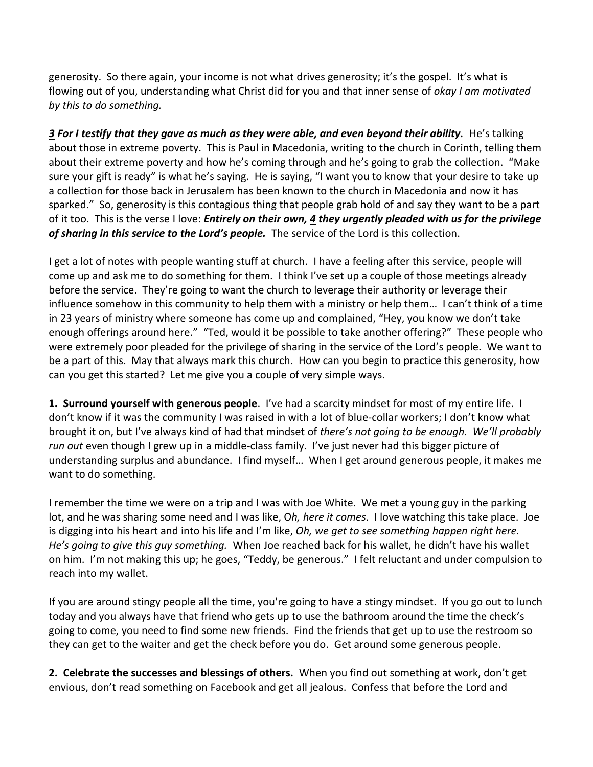generosity. So there again, your income is not what drives generosity; it's the gospel. It's what is flowing out of you, understanding what Christ did for you and that inner sense of *okay I am motivated by this to do something.*

*[3](https://www.studylight.org/desk/?q=2co%208:3&t1=en_niv&sr=1) For I testify that they gave as much as they were able, and even beyond their ability.* He's talking about those in extreme poverty. This is Paul in Macedonia, writing to the church in Corinth, telling them about their extreme poverty and how he's coming through and he's going to grab the collection. "Make sure your gift is ready" is what he's saying. He is saying, "I want you to know that your desire to take up a collection for those back in Jerusalem has been known to the church in Macedonia and now it has sparked." So, generosity is this contagious thing that people grab hold of and say they want to be a part of it too. This is the verse I love: *Entirely on their own, [4](https://www.studylight.org/desk/?q=2co%208:4&t1=en_niv&sr=1) they urgently pleaded with us for the privilege*  of sharing in this service to the Lord's people. The service of the Lord is this collection.

I get a lot of notes with people wanting stuff at church. I have a feeling after this service, people will come up and ask me to do something for them. I think I've set up a couple of those meetings already before the service. They're going to want the church to leverage their authority or leverage their influence somehow in this community to help them with a ministry or help them… I can't think of a time in 23 years of ministry where someone has come up and complained, "Hey, you know we don't take enough offerings around here." "Ted, would it be possible to take another offering?" These people who were extremely poor pleaded for the privilege of sharing in the service of the Lord's people. We want to be a part of this. May that always mark this church. How can you begin to practice this generosity, how can you get this started? Let me give you a couple of very simple ways.

**1. Surround yourself with generous people**. I've had a scarcity mindset for most of my entire life. I don't know if it was the community I was raised in with a lot of blue-collar workers; I don't know what brought it on, but I've always kind of had that mindset of *there's not going to be enough. We'll probably run out* even though I grew up in a middle-class family. I've just never had this bigger picture of understanding surplus and abundance. I find myself… When I get around generous people, it makes me want to do something.

I remember the time we were on a trip and I was with Joe White. We met a young guy in the parking lot, and he was sharing some need and I was like, O*h, here it comes*. I love watching this take place. Joe is digging into his heart and into his life and I'm like, *Oh, we get to see something happen right here. He's going to give this guy something.* When Joe reached back for his wallet, he didn't have his wallet on him. I'm not making this up; he goes, "Teddy, be generous." I felt reluctant and under compulsion to reach into my wallet.

If you are around stingy people all the time, you're going to have a stingy mindset. If you go out to lunch today and you always have that friend who gets up to use the bathroom around the time the check's going to come, you need to find some new friends. Find the friends that get up to use the restroom so they can get to the waiter and get the check before you do. Get around some generous people.

**2. Celebrate the successes and blessings of others.** When you find out something at work, don't get envious, don't read something on Facebook and get all jealous. Confess that before the Lord and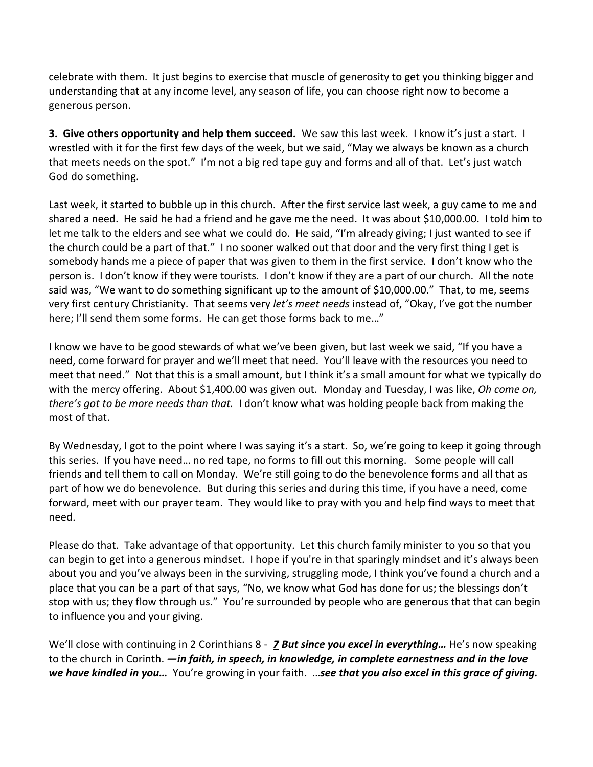celebrate with them. It just begins to exercise that muscle of generosity to get you thinking bigger and understanding that at any income level, any season of life, you can choose right now to become a generous person.

**3. Give others opportunity and help them succeed.** We saw this last week. I know it's just a start. I wrestled with it for the first few days of the week, but we said, "May we always be known as a church that meets needs on the spot." I'm not a big red tape guy and forms and all of that. Let's just watch God do something.

Last week, it started to bubble up in this church. After the first service last week, a guy came to me and shared a need. He said he had a friend and he gave me the need. It was about \$10,000.00. I told him to let me talk to the elders and see what we could do. He said, "I'm already giving; I just wanted to see if the church could be a part of that." I no sooner walked out that door and the very first thing I get is somebody hands me a piece of paper that was given to them in the first service. I don't know who the person is. I don't know if they were tourists. I don't know if they are a part of our church. All the note said was, "We want to do something significant up to the amount of \$10,000.00." That, to me, seems very first century Christianity. That seems very *let's meet needs* instead of, "Okay, I've got the number here; I'll send them some forms. He can get those forms back to me..."

I know we have to be good stewards of what we've been given, but last week we said, "If you have a need, come forward for prayer and we'll meet that need. You'll leave with the resources you need to meet that need." Not that this is a small amount, but I think it's a small amount for what we typically do with the mercy offering. About \$1,400.00 was given out. Monday and Tuesday, I was like, *Oh come on, there's got to be more needs than that.* I don't know what was holding people back from making the most of that.

By Wednesday, I got to the point where I was saying it's a start. So, we're going to keep it going through this series. If you have need… no red tape, no forms to fill out this morning. Some people will call friends and tell them to call on Monday. We're still going to do the benevolence forms and all that as part of how we do benevolence. But during this series and during this time, if you have a need, come forward, meet with our prayer team. They would like to pray with you and help find ways to meet that need.

Please do that. Take advantage of that opportunity. Let this church family minister to you so that you can begin to get into a generous mindset. I hope if you're in that sparingly mindset and it's always been about you and you've always been in the surviving, struggling mode, I think you've found a church and a place that you can be a part of that says, "No, we know what God has done for us; the blessings don't stop with us; they flow through us." You're surrounded by people who are generous that that can begin to influence you and your giving.

We'll close with continuing in 2 Corinthians 8 - *[7](https://www.studylight.org/desk/?q=2co%208:7&t1=en_niv&sr=1) But since you excel in everything…* He's now speaking to the church in Corinth. *—in faith, in speech, in knowledge, in complete earnestness and in the love we have kindled in you…* You're growing in your faith. …*see that you also excel in this grace of giving.*